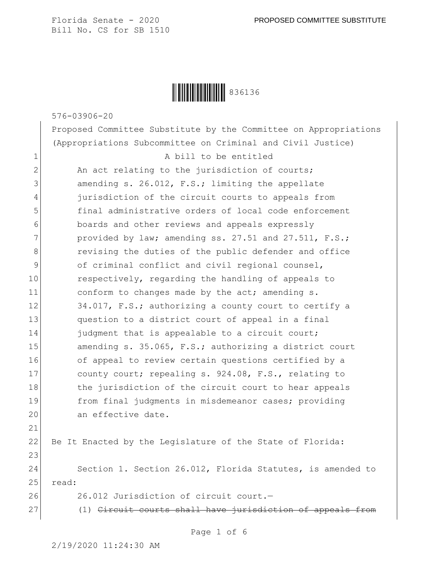Ì836136,Î836136

576-03906-20

Proposed Committee Substitute by the Committee on Appropriations (Appropriations Subcommittee on Criminal and Civil Justice) 1 a bill to be entitled  $2$  An act relating to the jurisdiction of courts; 3 amending s. 26.012, F.S.; limiting the appellate 4 jurisdiction of the circuit courts to appeals from 5 final administrative orders of local code enforcement 6 boards and other reviews and appeals expressly  $7$  provided by law; amending ss. 27.51 and 27.511, F.S.; 8 8 revising the duties of the public defender and office 9 of criminal conflict and civil regional counsel, 10 respectively, regarding the handling of appeals to 11 conform to changes made by the act; amending s. 12 34.017, F.S.; authorizing a county court to certify a 13 question to a district court of appeal in a final 14 fudgment that is appealable to a circuit court; 15 amending s. 35.065, F.S.; authorizing a district court 16 of appeal to review certain questions certified by a 17 county court; repealing s. 924.08, F.S., relating to 18 the jurisdiction of the circuit court to hear appeals 19 from final judgments in misdemeanor cases; providing 20 an effective date. 21 22 Be It Enacted by the Legislature of the State of Florida: 23

24 Section 1. Section 26.012, Florida Statutes, is amended to 25 read:

26 26.012 Jurisdiction of circuit court.

27 (1) Circuit courts shall have jurisdiction of appeals from

Page 1 of 6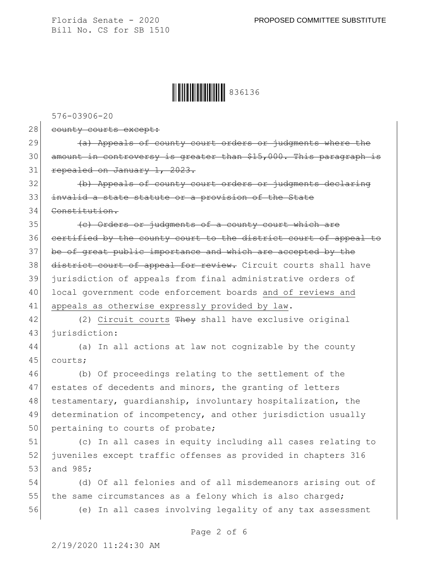## Ì836136,Î836136

576-03906-20

28 county courts except:

29 (a) Appeals of county court orders or judgments where the 30 amount in controversy is greater than \$15,000. This paragraph is 31 repealed on January 1, 2023.

32 (b) Appeals of county court orders or judgments declaring 33 invalid a state statute or a provision of the State

34 Constitution.

35 (c) Orders or judgments of a county court which are 36 certified by the county court to the district court of appeal to 37 be of great public importance and which are accepted by the 38 district court of appeal for review. Circuit courts shall have 39 jurisdiction of appeals from final administrative orders of 40 local government code enforcement boards and of reviews and 41 appeals as otherwise expressly provided by law.

42  $(2)$  Circuit courts They shall have exclusive original 43 jurisdiction:

44 (a) In all actions at law not cognizable by the county 45 courts;

46 (b) Of proceedings relating to the settlement of the 47 estates of decedents and minors, the granting of letters 48 testamentary, quardianship, involuntary hospitalization, the 49 determination of incompetency, and other jurisdiction usually 50 pertaining to courts of probate;

51 (c) In all cases in equity including all cases relating to 52 juveniles except traffic offenses as provided in chapters 316 53 and 985;

54 (d) Of all felonies and of all misdemeanors arising out of 55 the same circumstances as a felony which is also charged;

56 (e) In all cases involving legality of any tax assessment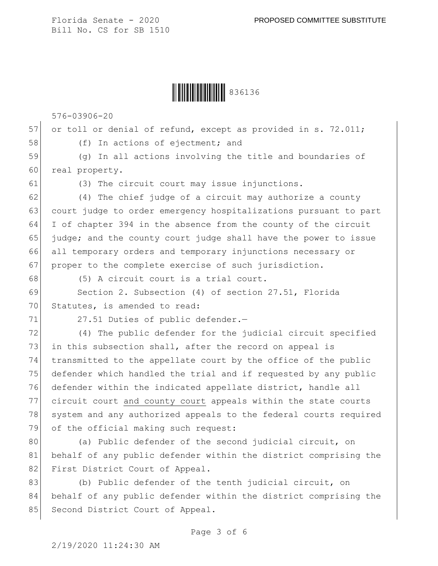Ì836136,Î836136

576-03906-20

57 or toll or denial of refund, except as provided in s. 72.011; 58 (f) In actions of ejectment; and

59 (g) In all actions involving the title and boundaries of 60 real property.

61 (3) The circuit court may issue injunctions.

 (4) The chief judge of a circuit may authorize a county court judge to order emergency hospitalizations pursuant to part I of chapter 394 in the absence from the county of the circuit judge; and the county court judge shall have the power to issue all temporary orders and temporary injunctions necessary or 67 proper to the complete exercise of such jurisdiction.

68 (5) A circuit court is a trial court.

69 Section 2. Subsection (4) of section 27.51, Florida 70 Statutes, is amended to read:

71 27.51 Duties of public defender.-

72 (4) The public defender for the judicial circuit specified 73 in this subsection shall, after the record on appeal is 74 | transmitted to the appellate court by the office of the public 75 defender which handled the trial and if requested by any public 76 defender within the indicated appellate district, handle all 77 circuit court and county court appeals within the state courts 78 system and any authorized appeals to the federal courts required 79 of the official making such request:

80 (a) Public defender of the second judicial circuit, on 81 behalf of any public defender within the district comprising the 82 First District Court of Appeal.

83 (b) Public defender of the tenth judicial circuit, on 84 behalf of any public defender within the district comprising the 85 Second District Court of Appeal.

Page 3 of 6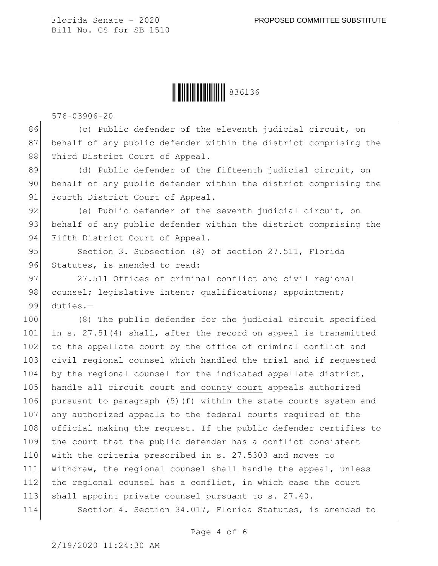## Ì836136,Î836136

576-03906-20

86 (c) Public defender of the eleventh judicial circuit, on 87 behalf of any public defender within the district comprising the 88 Third District Court of Appeal.

89 (d) Public defender of the fifteenth judicial circuit, on 90 behalf of any public defender within the district comprising the 91 Fourth District Court of Appeal.

92 (e) Public defender of the seventh judicial circuit, on 93 behalf of any public defender within the district comprising the 94 Fifth District Court of Appeal.

95 Section 3. Subsection (8) of section 27.511, Florida 96 Statutes, is amended to read:

97 27.511 Offices of criminal conflict and civil regional 98 counsel; legislative intent; qualifications; appointment; 99 duties.—

100 (8) The public defender for the judicial circuit specified 101 in s. 27.51(4) shall, after the record on appeal is transmitted 102 to the appellate court by the office of criminal conflict and 103 civil regional counsel which handled the trial and if requested 104 by the regional counsel for the indicated appellate district, 105 handle all circuit court and county court appeals authorized 106 pursuant to paragraph (5)(f) within the state courts system and 107 any authorized appeals to the federal courts required of the 108 official making the request. If the public defender certifies to 109 the court that the public defender has a conflict consistent 110 with the criteria prescribed in s. 27.5303 and moves to 111 withdraw, the regional counsel shall handle the appeal, unless 112 the regional counsel has a conflict, in which case the court 113 shall appoint private counsel pursuant to s. 27.40.

114 Section 4. Section 34.017, Florida Statutes, is amended to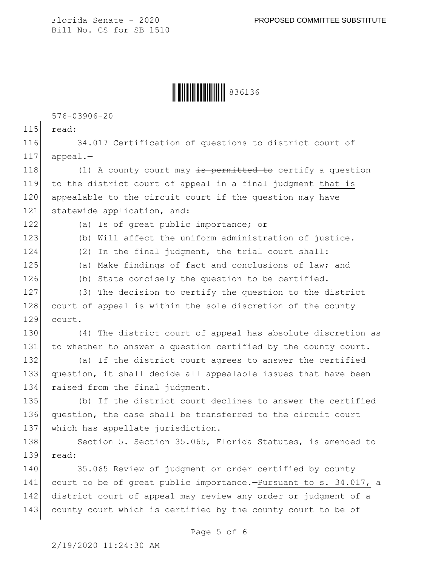## Ì836136,Î836136

576-03906-20

115 read:

116 34.017 Certification of questions to district court of  $117$  appeal.-

118  $(1)$  A county court may  $\frac{1}{15}$  permitted to certify a question 119 to the district court of appeal in a final judgment that is 120 appealable to the circuit court if the question may have 121 statewide application, and:

122 (a) Is of great public importance; or

123 (b) Will affect the uniform administration of justice.

124 (2) In the final judgment, the trial court shall:

125 (a) Make findings of fact and conclusions of law; and

126 (b) State concisely the question to be certified.

127 (3) The decision to certify the question to the district 128 court of appeal is within the sole discretion of the county 129 court.

130 (4) The district court of appeal has absolute discretion as 131 to whether to answer a question certified by the county court.

132 (a) If the district court agrees to answer the certified 133 question, it shall decide all appealable issues that have been 134 raised from the final judgment.

135 (b) If the district court declines to answer the certified 136 question, the case shall be transferred to the circuit court 137 which has appellate jurisdiction.

138 Section 5. Section 35.065, Florida Statutes, is amended to 139 read:

140 35.065 Review of judgment or order certified by county 141 court to be of great public importance.-Pursuant to s. 34.017, a 142 district court of appeal may review any order or judgment of a 143 county court which is certified by the county court to be of